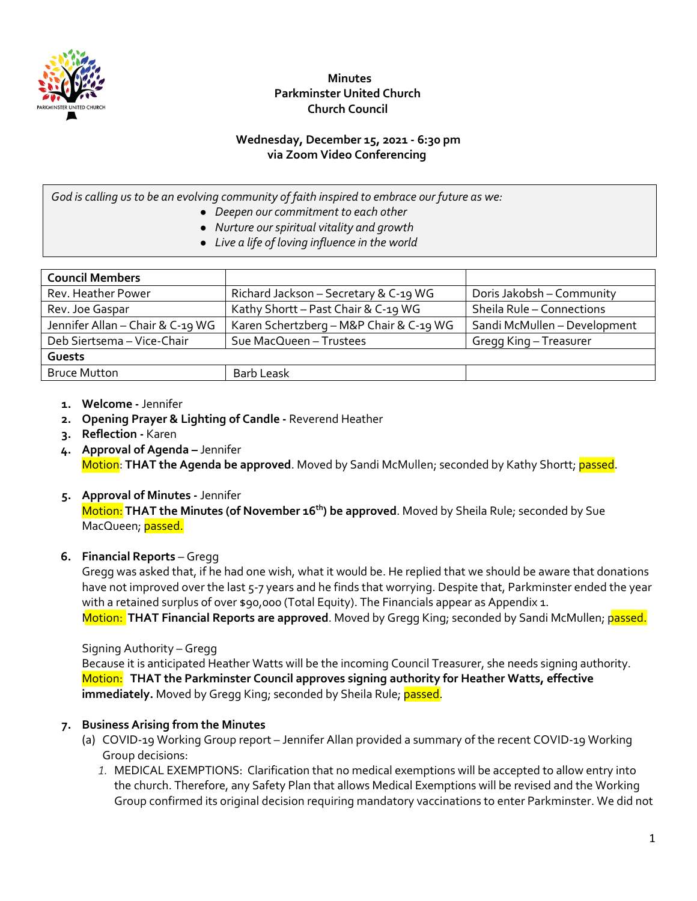

# **Minutes Parkminster United Church Church Council**

# **Wednesday, December 15, 2021 - 6:30 pm via Zoom Video Conferencing**

*God is calling us to be an evolving community of faith inspired to embrace our future as we:*

- *Deepen our commitment to each other*
- *Nurture our spiritual vitality and growth*
- *Live a life of loving influence in the world*

| <b>Council Members</b>           |                                         |                              |
|----------------------------------|-----------------------------------------|------------------------------|
| Rev. Heather Power               | Richard Jackson - Secretary & C-19 WG   | Doris Jakobsh - Community    |
| Rev. Joe Gaspar                  | Kathy Shortt - Past Chair & C-19 WG     | Sheila Rule - Connections    |
| Jennifer Allan - Chair & C-19 WG | Karen Schertzberg - M&P Chair & C-19 WG | Sandi McMullen - Development |
| Deb Siertsema - Vice-Chair       | Sue MacQueen - Trustees                 | Gregg King - Treasurer       |
| Guests                           |                                         |                              |
| <b>Bruce Mutton</b>              | <b>Barb Leask</b>                       |                              |

#### **1. Welcome -** Jennifer

- **2. Opening Prayer & Lighting of Candle** Reverend Heather
- **3. Reflection** Karen
- **4. Approval of Agenda** Jennifer Motion: **THAT the Agenda be approved**. Moved by Sandi McMullen; seconded by Kathy Shortt; passed.

# **5. Approval of Minutes -** Jennifer

Motion: **THAT the Minutes (of November 16th) be approved**. Moved by Sheila Rule; seconded by Sue MacQueen; passed.

# **6. Financial Reports** – Gregg

Gregg was asked that, if he had one wish, what it would be. He replied that we should be aware that donations have not improved over the last 5-7 years and he finds that worrying. Despite that, Parkminster ended the year with a retained surplus of over \$90,000 (Total Equity). The Financials appear as Appendix 1. Motion: **THAT Financial Reports are approved**. Moved by Gregg King; seconded by Sandi McMullen; passed.

#### Signing Authority – Gregg

Because it is anticipated Heather Watts will be the incoming Council Treasurer, she needs signing authority. Motion: **THAT the Parkminster Council approves signing authority for Heather Watts, effective immediately.** Moved by Gregg King; seconded by Sheila Rule; passed.

# **7. Business Arising from the Minutes**

- (a) COVID-19 Working Group report Jennifer Allan provided a summary of the recent COVID-19 Working Group decisions:
	- *1.* MEDICAL EXEMPTIONS: Clarification that no medical exemptions will be accepted to allow entry into the church. Therefore, any Safety Plan that allows Medical Exemptions will be revised and the Working Group confirmed its original decision requiring mandatory vaccinations to enter Parkminster. We did not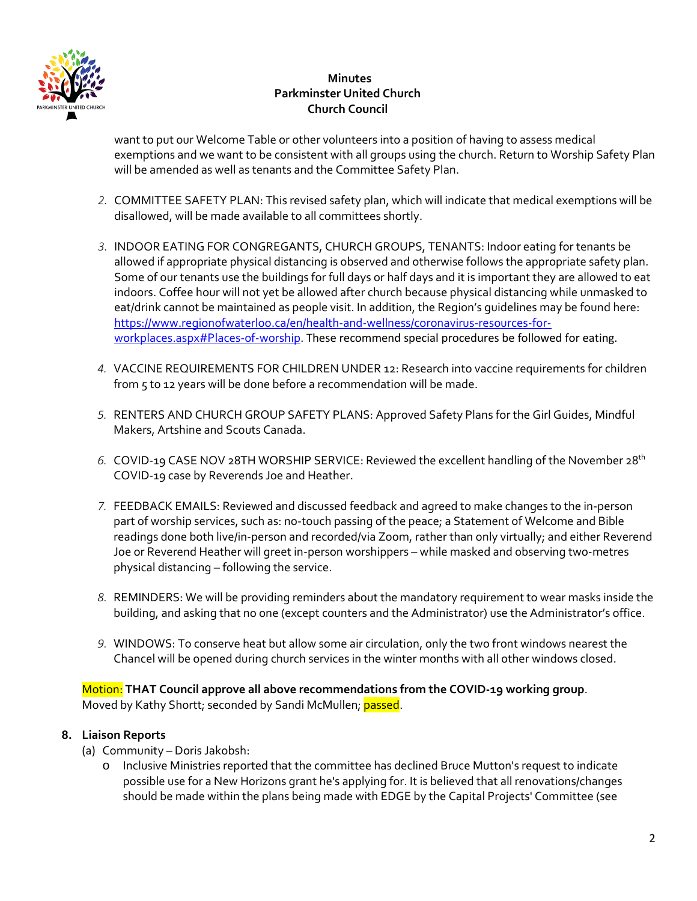

# **Minutes Parkminster United Church Church Council**

want to put our Welcome Table or other volunteers into a position of having to assess medical exemptions and we want to be consistent with all groups using the church. Return to Worship Safety Plan will be amended as well as tenants and the Committee Safety Plan.

- *2.* COMMITTEE SAFETY PLAN: This revised safety plan, which will indicate that medical exemptions will be disallowed, will be made available to all committees shortly.
- *3.* INDOOR EATING FOR CONGREGANTS, CHURCH GROUPS, TENANTS: Indoor eating for tenants be allowed if appropriate physical distancing is observed and otherwise follows the appropriate safety plan. Some of our tenants use the buildings for full days or half days and it is important they are allowed to eat indoors. Coffee hour will not yet be allowed after church because physical distancing while unmasked to eat/drink cannot be maintained as people visit. In addition, the Region's guidelines may be found here: [https://www.regionofwaterloo.ca/en/health-and-wellness/coronavirus-resources-for](https://www.regionofwaterloo.ca/en/health-and-wellness/coronavirus-resources-for-workplaces.aspx#Places-of-worship)[workplaces.aspx#Places-of-worship.](https://www.regionofwaterloo.ca/en/health-and-wellness/coronavirus-resources-for-workplaces.aspx#Places-of-worship) These recommend special procedures be followed for eating.
- *4.* VACCINE REQUIREMENTS FOR CHILDREN UNDER 12: Research into vaccine requirements for children from 5 to 12 years will be done before a recommendation will be made.
- *5.* RENTERS AND CHURCH GROUP SAFETY PLANS: Approved Safety Plans for the Girl Guides, Mindful Makers, Artshine and Scouts Canada.
- *6.* COVID-19 CASE NOV 28TH WORSHIP SERVICE: Reviewed the excellent handling of the November 28th COVID-19 case by Reverends Joe and Heather.
- *7.* FEEDBACK EMAILS: Reviewed and discussed feedback and agreed to make changes to the in-person part of worship services, such as: no-touch passing of the peace; a Statement of Welcome and Bible readings done both live/in-person and recorded/via Zoom, rather than only virtually; and either Reverend Joe or Reverend Heather will greet in-person worshippers – while masked and observing two-metres physical distancing – following the service.
- *8.* REMINDERS: We will be providing reminders about the mandatory requirement to wear masks inside the building, and asking that no one (except counters and the Administrator) use the Administrator's office.
- *9.* WINDOWS: To conserve heat but allow some air circulation, only the two front windows nearest the Chancel will be opened during church services in the winter months with all other windows closed.

Motion: **THAT Council approve all above recommendations from the COVID-19 working group**. Moved by Kathy Shortt; seconded by Sandi McMullen; passed.

# **8. Liaison Reports**

- (a) Community Doris Jakobsh:
	- o Inclusive Ministries reported that the committee has declined Bruce Mutton's request to indicate possible use for a New Horizons grant he's applying for. It is believed that all renovations/changes should be made within the plans being made with EDGE by the Capital Projects' Committee (see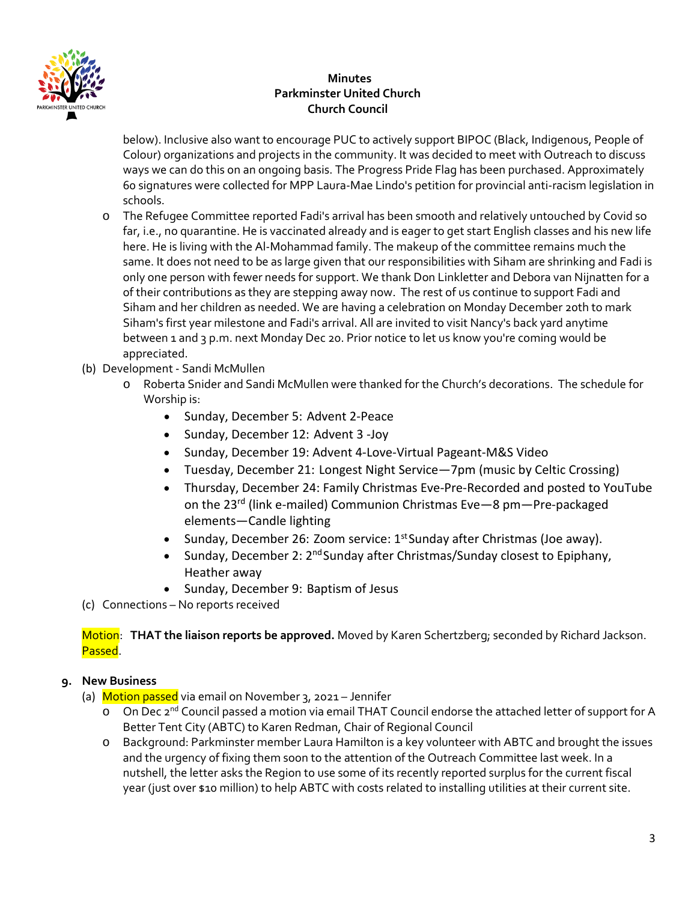

# **Minutes Parkminster United Church Church Council**

below). Inclusive also want to encourage PUC to actively support BIPOC (Black, Indigenous, People of Colour) organizations and projects in the community. It was decided to meet with Outreach to discuss ways we can do this on an ongoing basis. The Progress Pride Flag has been purchased. Approximately 60 signatures were collected for MPP Laura-Mae Lindo's petition for provincial anti-racism legislation in schools.

- o The Refugee Committee reported Fadi's arrival has been smooth and relatively untouched by Covid so far, i.e., no quarantine. He is vaccinated already and is eager to get start English classes and his new life here. He is living with the Al-Mohammad family. The makeup of the committee remains much the same. It does not need to be as large given that our responsibilities with Siham are shrinking and Fadi is only one person with fewer needs for support. We thank Don Linkletter and Debora van Nijnatten for a of their contributions as they are stepping away now. The rest of us continue to support Fadi and Siham and her children as needed. We are having a celebration on Monday December 20th to mark Siham's first year milestone and Fadi's arrival. All are invited to visit Nancy's back yard anytime between 1 and 3 p.m. next Monday Dec 20. Prior notice to let us know you're coming would be appreciated.
- (b) Development Sandi McMullen
	- o Roberta Snider and Sandi McMullen were thanked for the Church's decorations. The schedule for Worship is:
		- Sunday, December 5: Advent 2-Peace
		- Sunday, December 12: Advent 3 -Joy
		- Sunday, December 19: Advent 4-Love-Virtual Pageant-M&S Video
		- Tuesday, December 21: Longest Night Service—7pm (music by Celtic Crossing)
		- Thursday, December 24: Family Christmas Eve-Pre-Recorded and posted to YouTube on the 23rd (link e-mailed) Communion Christmas Eve—8 pm—Pre-packaged elements—Candle lighting
		- Sunday, December 26: Zoom service:  $1<sup>st</sup>$  Sunday after Christmas (Joe away).
		- Sunday, December 2: 2<sup>nd</sup> Sunday after Christmas/Sunday closest to Epiphany, Heather away
		- Sunday, December 9: Baptism of Jesus
- (c) Connections No reports received

Motion: **THAT the liaison reports be approved.** Moved by Karen Schertzberg; seconded by Richard Jackson. Passed.

# **9. New Business**

- (a) Motion passed via email on November 3, 2021 Jennifer
	- o On Dec 2<sup>nd</sup> Council passed a motion via email THAT Council endorse the attached letter of support for A Better Tent City (ABTC) to Karen Redman, Chair of Regional Council
	- o Background: Parkminster member Laura Hamilton is a key volunteer with ABTC and brought the issues and the urgency of fixing them soon to the attention of the Outreach Committee last week. In a nutshell, the letter asks the Region to use some of its recently reported surplus for the current fiscal year (just over \$10 million) to help ABTC with costs related to installing utilities at their current site.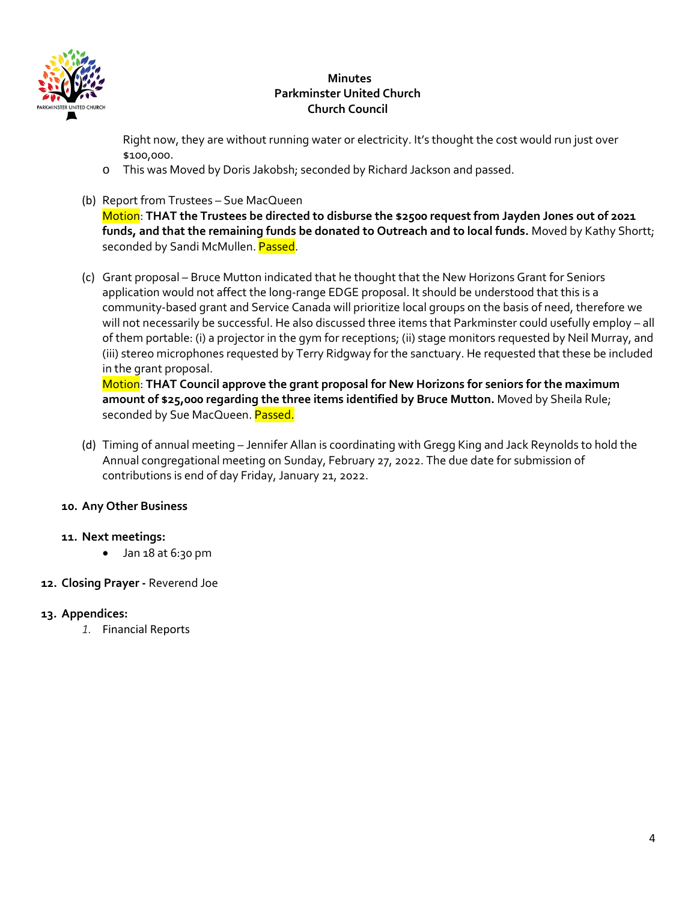

# **Minutes Parkminster United Church Church Council**

Right now, they are without running water or electricity. It's thought the cost would run just over \$100,000.

- o This was Moved by Doris Jakobsh; seconded by Richard Jackson and passed.
- (b) Report from Trustees Sue MacQueen

Motion: **THAT the Trustees be directed to disburse the \$2500 request from Jayden Jones out of 2021 funds, and that the remaining funds be donated to Outreach and to local funds.** Moved by Kathy Shortt; seconded by Sandi McMullen. Passed.

(c) Grant proposal – Bruce Mutton indicated that he thought that the New Horizons Grant for Seniors application would not affect the long-range EDGE proposal. It should be understood that this is a community-based grant and Service Canada will prioritize local groups on the basis of need, therefore we will not necessarily be successful. He also discussed three items that Parkminster could usefully employ – all of them portable: (i) a projector in the gym for receptions; (ii) stage monitors requested by Neil Murray, and (iii) stereo microphones requested by Terry Ridgway for the sanctuary. He requested that these be included in the grant proposal.

Motion: **THAT Council approve the grant proposal for New Horizons for seniors for the maximum amount of \$25,000 regarding the three items identified by Bruce Mutton.** Moved by Sheila Rule; seconded by Sue MacQueen. Passed.

(d) Timing of annual meeting – Jennifer Allan is coordinating with Gregg King and Jack Reynolds to hold the Annual congregational meeting on Sunday, February 27, 2022. The due date for submission of contributions is end of day Friday, January 21, 2022.

# **10. Any Other Business**

# **11. Next meetings:**

• Jan 18 at 6:30 pm

# **12. Closing Prayer -** Reverend Joe

# **13. Appendices:**

*1.* Financial Reports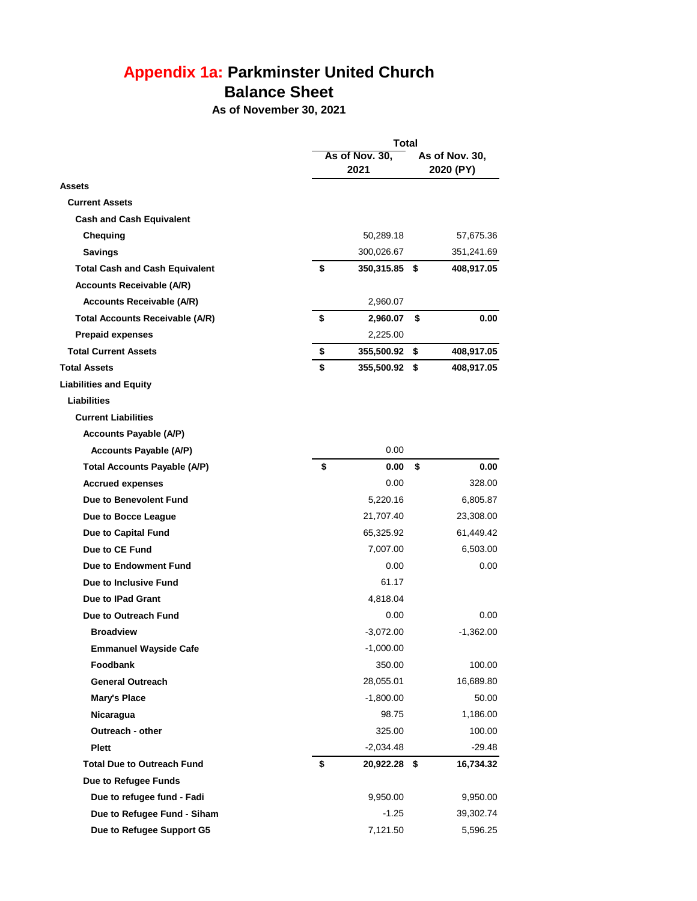# **Appendix 1a: Parkminster United Church Balance Sheet**

**As of November 30, 2021**

|                                        | Total |                        |    |             |  |  |
|----------------------------------------|-------|------------------------|----|-------------|--|--|
|                                        |       | As of Nov. 30,<br>2021 |    |             |  |  |
| <b>Assets</b>                          |       |                        |    |             |  |  |
| <b>Current Assets</b>                  |       |                        |    |             |  |  |
| <b>Cash and Cash Equivalent</b>        |       |                        |    |             |  |  |
| Chequing                               |       | 50,289.18              |    | 57,675.36   |  |  |
| <b>Savings</b>                         |       | 300,026.67             |    | 351,241.69  |  |  |
| <b>Total Cash and Cash Equivalent</b>  | \$    | 350,315.85 \$          |    | 408,917.05  |  |  |
| <b>Accounts Receivable (A/R)</b>       |       |                        |    |             |  |  |
| <b>Accounts Receivable (A/R)</b>       |       | 2,960.07               |    |             |  |  |
| <b>Total Accounts Receivable (A/R)</b> | \$    | 2,960.07               | \$ | 0.00        |  |  |
| <b>Prepaid expenses</b>                |       | 2,225.00               |    |             |  |  |
| <b>Total Current Assets</b>            | \$    | 355,500.92             | \$ | 408,917.05  |  |  |
| <b>Total Assets</b>                    | \$    | 355,500.92             | \$ | 408,917.05  |  |  |
| <b>Liabilities and Equity</b>          |       |                        |    |             |  |  |
| Liabilities                            |       |                        |    |             |  |  |
| <b>Current Liabilities</b>             |       |                        |    |             |  |  |
| <b>Accounts Payable (A/P)</b>          |       |                        |    |             |  |  |
| <b>Accounts Payable (A/P)</b>          |       | 0.00                   |    |             |  |  |
| <b>Total Accounts Payable (A/P)</b>    | \$    | 0.00                   | \$ | 0.00        |  |  |
| <b>Accrued expenses</b>                |       | 0.00                   |    | 328.00      |  |  |
| Due to Benevolent Fund                 |       | 5,220.16               |    | 6,805.87    |  |  |
| Due to Bocce League                    |       | 21,707.40              |    | 23,308.00   |  |  |
| Due to Capital Fund                    |       | 65,325.92              |    | 61,449.42   |  |  |
| Due to CE Fund                         |       | 7,007.00               |    | 6,503.00    |  |  |
| Due to Endowment Fund                  |       | 0.00                   |    | 0.00        |  |  |
| Due to Inclusive Fund                  |       | 61.17                  |    |             |  |  |
| Due to IPad Grant                      |       | 4,818.04               |    |             |  |  |
| Due to Outreach Fund                   |       | 0.00                   |    | 0.00        |  |  |
| <b>Broadview</b>                       |       | $-3,072.00$            |    | $-1,362.00$ |  |  |
| <b>Emmanuel Wayside Cafe</b>           |       | $-1,000.00$            |    |             |  |  |
| Foodbank                               |       | 350.00                 |    | 100.00      |  |  |
| <b>General Outreach</b>                |       | 28,055.01              |    | 16,689.80   |  |  |
| <b>Mary's Place</b>                    |       | $-1,800.00$            |    | 50.00       |  |  |
| Nicaragua                              |       | 98.75                  |    | 1,186.00    |  |  |
| Outreach - other                       |       | 325.00                 |    | 100.00      |  |  |
| <b>Plett</b>                           |       | $-2,034.48$            |    | $-29.48$    |  |  |
| <b>Total Due to Outreach Fund</b>      | \$    | 20,922.28 \$           |    | 16,734.32   |  |  |
| Due to Refugee Funds                   |       |                        |    |             |  |  |
| Due to refugee fund - Fadi             |       | 9,950.00               |    | 9,950.00    |  |  |
| Due to Refugee Fund - Siham            |       | $-1.25$                |    | 39,302.74   |  |  |
| Due to Refugee Support G5              |       | 7,121.50               |    | 5,596.25    |  |  |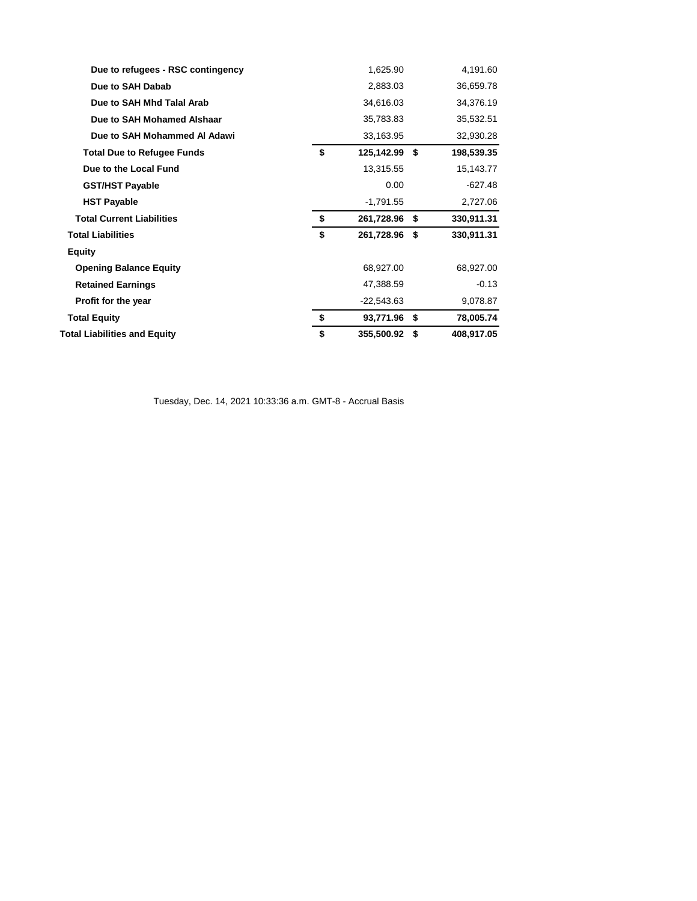| Due to refugees - RSC contingency   | 1,625.90            | 4,191.60         |
|-------------------------------------|---------------------|------------------|
| Due to SAH Dabab                    | 2,883.03            | 36,659.78        |
| Due to SAH Mhd Talal Arab           | 34,616.03           | 34,376.19        |
| Due to SAH Mohamed Alshaar          | 35,783.83           | 35,532.51        |
| Due to SAH Mohammed AI Adawi        | 33,163.95           | 32,930.28        |
| <b>Total Due to Refugee Funds</b>   | \$<br>125,142.99 \$ | 198,539.35       |
| Due to the Local Fund               | 13,315.55           | 15,143.77        |
| <b>GST/HST Payable</b>              | 0.00                | $-627.48$        |
| <b>HST Payable</b>                  | $-1,791.55$         | 2,727.06         |
| <b>Total Current Liabilities</b>    | \$<br>261,728.96 \$ | 330,911.31       |
| <b>Total Liabilities</b>            | \$<br>261,728.96 \$ | 330,911.31       |
| <b>Equity</b>                       |                     |                  |
| <b>Opening Balance Equity</b>       | 68,927.00           | 68,927.00        |
| <b>Retained Earnings</b>            | 47,388.59           | $-0.13$          |
| Profit for the year                 | $-22,543.63$        | 9,078.87         |
| <b>Total Equity</b>                 | \$<br>93,771.96 \$  | 78,005.74        |
| <b>Total Liabilities and Equity</b> | \$<br>355,500.92    | \$<br>408,917.05 |

Tuesday, Dec. 14, 2021 10:33:36 a.m. GMT-8 - Accrual Basis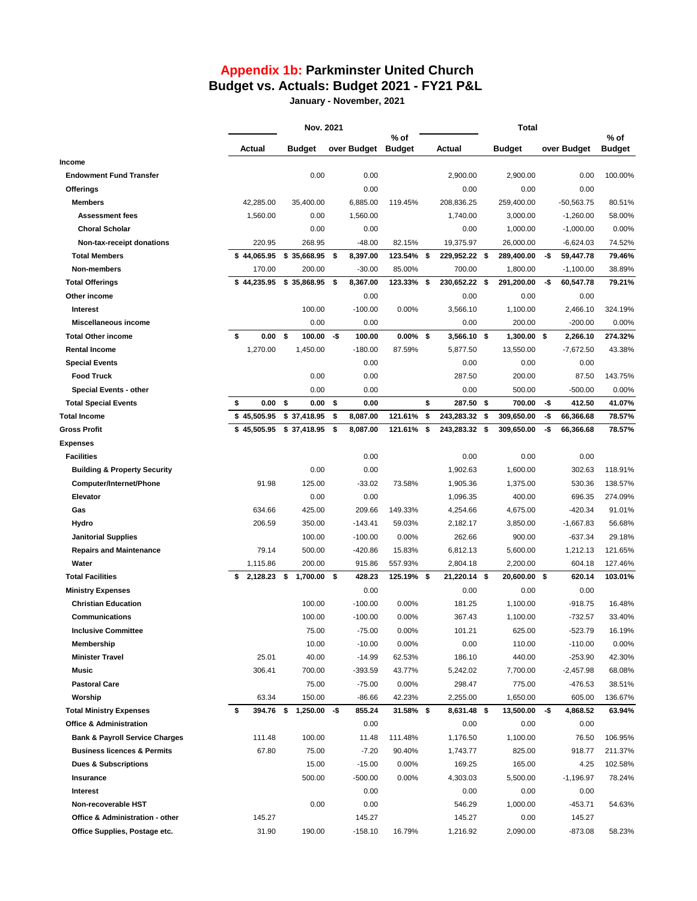# **Appendix 1b: Parkminster United Church Budget vs. Actuals: Budget 2021 - FY21 P&L**

**January - November, 2021**

|                                           | Nov. 2021      |    |                 | % of |                    | Total        |    |               | $%$ of |               |     |              |               |
|-------------------------------------------|----------------|----|-----------------|------|--------------------|--------------|----|---------------|--------|---------------|-----|--------------|---------------|
|                                           | Actual         |    | <b>Budget</b>   |      | over Budget Budget |              |    | Actual        |        | <b>Budget</b> |     | over Budget  | <b>Budget</b> |
| Income                                    |                |    |                 |      |                    |              |    |               |        |               |     |              |               |
| <b>Endowment Fund Transfer</b>            |                |    | 0.00            |      | 0.00               |              |    | 2,900.00      |        | 2,900.00      |     | 0.00         | 100.00%       |
| <b>Offerings</b>                          |                |    |                 |      | 0.00               |              |    | 0.00          |        | 0.00          |     | 0.00         |               |
| <b>Members</b>                            | 42,285.00      |    | 35,400.00       |      | 6,885.00           | 119.45%      |    | 208,836.25    |        | 259,400.00    |     | $-50,563.75$ | 80.51%        |
| <b>Assessment fees</b>                    | 1,560.00       |    | 0.00            |      | 1,560.00           |              |    | 1,740.00      |        | 3,000.00      |     | $-1,260.00$  | 58.00%        |
| <b>Choral Scholar</b>                     |                |    | 0.00            |      | 0.00               |              |    | 0.00          |        | 1,000.00      |     | $-1,000.00$  | 0.00%         |
| Non-tax-receipt donations                 | 220.95         |    | 268.95          |      | $-48.00$           | 82.15%       |    | 19,375.97     |        | 26,000.00     |     | $-6,624.03$  | 74.52%        |
| <b>Total Members</b>                      | \$44,065.95    |    | $$35,668.95$ \$ |      | 8,397.00           | 123.54% \$   |    | 229,952.22 \$ |        | 289,400.00    | -\$ | 59,447.78    | 79.46%        |
| Non-members                               | 170.00         |    | 200.00          |      | $-30.00$           | 85.00%       |    | 700.00        |        | 1,800.00      |     | $-1,100.00$  | 38.89%        |
| <b>Total Offerings</b>                    | \$44.235.95    |    | $$35.868.95$ \$ |      | 8,367.00           | 123.33% \$   |    | 230,652.22 \$ |        | 291,200.00    | -\$ | 60,547.78    | 79.21%        |
| Other income                              |                |    |                 |      | 0.00               |              |    | 0.00          |        | 0.00          |     | 0.00         |               |
| Interest                                  |                |    | 100.00          |      | $-100.00$          | 0.00%        |    | 3,566.10      |        | 1,100.00      |     | 2,466.10     | 324.19%       |
| Miscellaneous income                      |                |    | 0.00            |      | 0.00               |              |    | 0.00          |        | 200.00        |     | $-200.00$    | 0.00%         |
| <b>Total Other income</b>                 | \$<br>0.00     | \$ | 100.00          | -\$  | 100.00             | $0.00\%$ \$  |    | 3,566.10 \$   |        | $1,300.00$ \$ |     | 2,266.10     | 274.32%       |
| <b>Rental Income</b>                      | 1,270.00       |    | 1,450.00        |      | $-180.00$          | 87.59%       |    | 5,877.50      |        | 13,550.00     |     | $-7,672.50$  | 43.38%        |
| <b>Special Events</b>                     |                |    |                 |      | 0.00               |              |    | 0.00          |        | 0.00          |     | 0.00         |               |
| <b>Food Truck</b>                         |                |    | 0.00            |      | 0.00               |              |    | 287.50        |        | 200.00        |     | 87.50        | 143.75%       |
| <b>Special Events - other</b>             |                |    | 0.00            |      | 0.00               |              |    | 0.00          |        | 500.00        |     | $-500.00$    | 0.00%         |
| <b>Total Special Events</b>               | \$<br>0.00     | \$ | 0.00            | \$   | 0.00               |              | \$ | 287.50        | \$     | 700.00        | -\$ | 412.50       | 41.07%        |
| <b>Total Income</b>                       | \$45,505.95    |    | \$37,418.95     | \$   | 8,087.00           | 121.61%      | \$ | 243,283.32    | \$     | 309,650.00    | -\$ | 66,366.68    | 78.57%        |
| <b>Gross Profit</b>                       | \$45,505.95    |    | \$37,418.95     | \$   | 8,087.00           | 121.61%      | \$ | 243,283.32    | \$     | 309,650.00    | -\$ | 66,366.68    | 78.57%        |
| <b>Expenses</b>                           |                |    |                 |      |                    |              |    |               |        |               |     |              |               |
| <b>Facilities</b>                         |                |    |                 |      | 0.00               |              |    | 0.00          |        | 0.00          |     | 0.00         |               |
| <b>Building &amp; Property Security</b>   |                |    | 0.00            |      | 0.00               |              |    | 1,902.63      |        | 1,600.00      |     | 302.63       | 118.91%       |
| Computer/Internet/Phone                   | 91.98          |    | 125.00          |      | $-33.02$           | 73.58%       |    | 1,905.36      |        | 1,375.00      |     | 530.36       | 138.57%       |
| Elevator                                  |                |    | 0.00            |      | 0.00               |              |    | 1,096.35      |        | 400.00        |     | 696.35       | 274.09%       |
| Gas                                       | 634.66         |    | 425.00          |      | 209.66             | 149.33%      |    | 4,254.66      |        | 4,675.00      |     | $-420.34$    | 91.01%        |
| Hydro                                     | 206.59         |    | 350.00          |      | $-143.41$          | 59.03%       |    | 2,182.17      |        | 3,850.00      |     | $-1,667.83$  | 56.68%        |
| <b>Janitorial Supplies</b>                |                |    | 100.00          |      | $-100.00$          | 0.00%        |    | 262.66        |        | 900.00        |     | $-637.34$    | 29.18%        |
| <b>Repairs and Maintenance</b>            | 79.14          |    | 500.00          |      | $-420.86$          | 15.83%       |    | 6,812.13      |        | 5,600.00      |     | 1,212.13     | 121.65%       |
| Water                                     | 1,115.86       |    | 200.00          |      | 915.86             | 557.93%      |    | 2,804.18      |        | 2,200.00      |     | 604.18       | 127.46%       |
| <b>Total Facilities</b>                   | \$<br>2,128.23 | \$ | 1,700.00        | -\$  | 428.23             | 125.19% \$   |    | 21,220.14 \$  |        | 20,600.00 \$  |     | 620.14       | 103.01%       |
| <b>Ministry Expenses</b>                  |                |    |                 |      | 0.00               |              |    | 0.00          |        | 0.00          |     | 0.00         |               |
| <b>Christian Education</b>                |                |    | 100.00          |      | $-100.00$          | 0.00%        |    | 181.25        |        | 1,100.00      |     | $-918.75$    | 16.48%        |
| Communications                            |                |    | 100.00          |      | $-100.00$          | 0.00%        |    | 367.43        |        | 1,100.00      |     | -732.57      | 33.40%        |
| <b>Inclusive Committee</b>                |                |    | 75.00           |      | $-75.00$           | $0.00\%$     |    | 101.21        |        | 625.00        |     | $-523.79$    | 16.19%        |
| Membership                                |                |    | 10.00           |      | $-10.00$           | 0.00%        |    | 0.00          |        | 110.00        |     | $-110.00$    | 0.00%         |
| <b>Minister Travel</b>                    | 25.01          |    | 40.00           |      | $-14.99$           | 62.53%       |    | 186.10        |        | 440.00        |     | $-253.90$    | 42.30%        |
| Music                                     | 306.41         |    | 700.00          |      | $-393.59$          | 43.77%       |    | 5,242.02      |        | 7,700.00      |     | $-2,457.98$  | 68.08%        |
| <b>Pastoral Care</b>                      |                |    | 75.00           |      | $-75.00$           | 0.00%        |    | 298.47        |        | 775.00        |     | -476.53      | 38.51%        |
| Worship                                   | 63.34          |    | 150.00          |      | $-86.66$           | 42.23%       |    | 2,255.00      |        | 1,650.00      |     | 605.00       | 136.67%       |
| <b>Total Ministry Expenses</b>            | \$<br>394.76   | \$ | $1,250.00 - $$  |      | 855.24             | $31.58\%$ \$ |    | 8,631.48 \$   |        | 13,500.00     | -\$ | 4,868.52     | 63.94%        |
| <b>Office &amp; Administration</b>        |                |    |                 |      |                    |              |    |               |        |               |     |              |               |
|                                           |                |    |                 |      | 0.00               |              |    | 0.00          |        | 0.00          |     | 0.00         |               |
| <b>Bank &amp; Payroll Service Charges</b> | 111.48         |    | 100.00          |      | 11.48              | 111.48%      |    | 1,176.50      |        | 1,100.00      |     | 76.50        | 106.95%       |
| <b>Business licences &amp; Permits</b>    | 67.80          |    | 75.00           |      | $-7.20$            | 90.40%       |    | 1,743.77      |        | 825.00        |     | 918.77       | 211.37%       |
| <b>Dues &amp; Subscriptions</b>           |                |    | 15.00           |      | $-15.00$           | 0.00%        |    | 169.25        |        | 165.00        |     | 4.25         | 102.58%       |
| Insurance                                 |                |    | 500.00          |      | $-500.00$          | 0.00%        |    | 4,303.03      |        | 5,500.00      |     | $-1,196.97$  | 78.24%        |
| Interest                                  |                |    |                 |      | 0.00               |              |    | 0.00          |        | 0.00          |     | 0.00         |               |
| Non-recoverable HST                       |                |    | 0.00            |      | 0.00               |              |    | 546.29        |        | 1,000.00      |     | $-453.71$    | 54.63%        |
| Office & Administration - other           | 145.27         |    |                 |      | 145.27             |              |    | 145.27        |        | 0.00          |     | 145.27       |               |
| Office Supplies, Postage etc.             | 31.90          |    | 190.00          |      | $-158.10$          | 16.79%       |    | 1,216.92      |        | 2,090.00      |     | -873.08      | 58.23%        |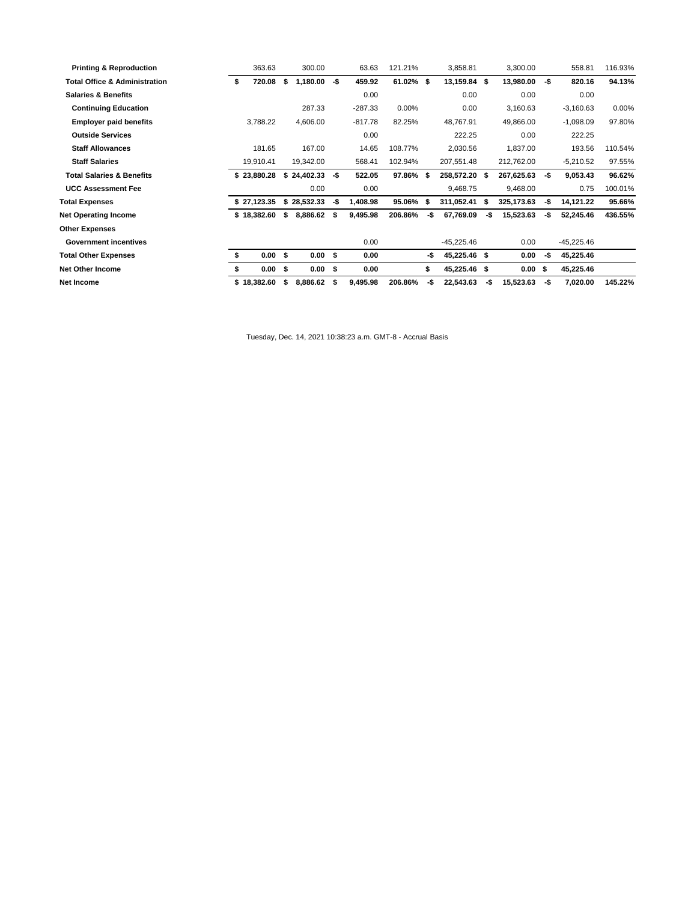| <b>Printing &amp; Reproduction</b>       | 363.63       |    | 300.00            |      | 63.63     | 121.21%   |     | 3,858.81     |      | 3,300.00   |     | 558.81       | 116.93% |
|------------------------------------------|--------------|----|-------------------|------|-----------|-----------|-----|--------------|------|------------|-----|--------------|---------|
| <b>Total Office &amp; Administration</b> | \$<br>720.08 | \$ | 1,180.00          | -\$  | 459.92    | 61.02% \$ |     | 13,159.84    | Ŝ.   | 13,980.00  | -\$ | 820.16       | 94.13%  |
| <b>Salaries &amp; Benefits</b>           |              |    |                   |      | 0.00      |           |     | 0.00         |      | 0.00       |     | 0.00         |         |
| <b>Continuing Education</b>              |              |    | 287.33            |      | $-287.33$ | 0.00%     |     | 0.00         |      | 3,160.63   |     | $-3,160.63$  | 0.00%   |
| <b>Employer paid benefits</b>            | 3,788.22     |    | 4,606.00          |      | $-817.78$ | 82.25%    |     | 48,767.91    |      | 49,866.00  |     | $-1,098.09$  | 97.80%  |
| <b>Outside Services</b>                  |              |    |                   |      | 0.00      |           |     | 222.25       |      | 0.00       |     | 222.25       |         |
| <b>Staff Allowances</b>                  | 181.65       |    | 167.00            |      | 14.65     | 108.77%   |     | 2,030.56     |      | 1,837.00   |     | 193.56       | 110.54% |
| <b>Staff Salaries</b>                    | 19,910.41    |    | 19,342.00         |      | 568.41    | 102.94%   |     | 207,551.48   |      | 212,762.00 |     | $-5,210.52$  | 97.55%  |
| <b>Total Salaries &amp; Benefits</b>     | \$23,880.28  |    | \$24,402.33       | -\$  | 522.05    | 97.86% \$ |     | 258,572.20   | Ŝ.   | 267,625.63 | -\$ | 9,053.43     | 96.62%  |
| <b>UCC Assessment Fee</b>                |              |    | 0.00              |      | 0.00      |           |     | 9,468.75     |      | 9,468.00   |     | 0.75         | 100.01% |
| <b>Total Expenses</b>                    | \$27,123.35  |    | \$28,532.33       | -\$  | 1,408.98  | 95.06% \$ |     | 311,052.41   | S    | 325,173.63 | -\$ | 14,121.22    | 95.66%  |
| <b>Net Operating Income</b>              | \$18,382.60  | \$ | 8,886.62          | S.   | 9,495.98  | 206.86%   | -\$ | 67,769.09    | -\$  | 15,523.63  | -\$ | 52,245.46    | 436.55% |
| <b>Other Expenses</b>                    |              |    |                   |      |           |           |     |              |      |            |     |              |         |
| <b>Government incentives</b>             |              |    |                   |      | 0.00      |           |     | $-45,225.46$ |      | 0.00       |     | $-45,225.46$ |         |
| <b>Total Other Expenses</b>              | \$<br>0.00   | s. | 0.00 <sup>5</sup> |      | 0.00      |           | -\$ | 45,225.46 \$ |      | 0.00       | -\$ | 45,225.46    |         |
| <b>Net Other Income</b>                  | 0.00         | s. | 0.00 S            |      | 0.00      |           | \$  | 45,225.46    | - \$ | 0.00 S     |     | 45,225.46    |         |
| Net Income                               | \$18,382.60  | \$ | 8,886.62          | - \$ | 9,495.98  | 206.86%   | -\$ | 22,543.63    | -\$  | 15,523.63  | -\$ | 7,020.00     | 145.22% |

Tuesday, Dec. 14, 2021 10:38:23 a.m. GMT-8 - Accrual Basis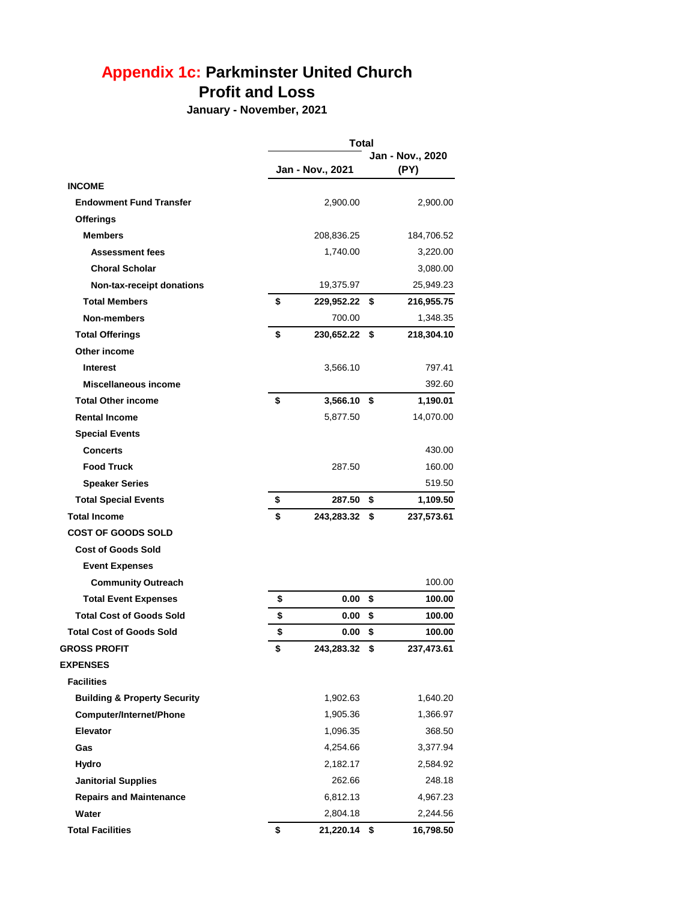# **Appendix 1c: Parkminster United Church Profit and Loss**

**January - November, 2021**

|                                         | <b>Total</b> |                  |    |                          |  |  |  |
|-----------------------------------------|--------------|------------------|----|--------------------------|--|--|--|
|                                         |              | Jan - Nov., 2021 |    | Jan - Nov., 2020<br>(PY) |  |  |  |
| <b>INCOME</b>                           |              |                  |    |                          |  |  |  |
| <b>Endowment Fund Transfer</b>          |              | 2,900.00         |    | 2,900.00                 |  |  |  |
| <b>Offerings</b>                        |              |                  |    |                          |  |  |  |
| <b>Members</b>                          |              | 208,836.25       |    | 184,706.52               |  |  |  |
| <b>Assessment fees</b>                  |              | 1,740.00         |    | 3,220.00                 |  |  |  |
| <b>Choral Scholar</b>                   |              |                  |    | 3,080.00                 |  |  |  |
| Non-tax-receipt donations               |              | 19,375.97        |    | 25,949.23                |  |  |  |
| <b>Total Members</b>                    | \$           | 229,952.22       | \$ | 216,955.75               |  |  |  |
| Non-members                             |              | 700.00           |    | 1,348.35                 |  |  |  |
| <b>Total Offerings</b>                  | \$           | 230,652.22       | \$ | 218,304.10               |  |  |  |
| Other income                            |              |                  |    |                          |  |  |  |
| <b>Interest</b>                         |              | 3,566.10         |    | 797.41                   |  |  |  |
| Miscellaneous income                    |              |                  |    | 392.60                   |  |  |  |
| <b>Total Other income</b>               | \$           | 3,566.10 \$      |    | 1,190.01                 |  |  |  |
| <b>Rental Income</b>                    |              | 5,877.50         |    | 14,070.00                |  |  |  |
| <b>Special Events</b>                   |              |                  |    |                          |  |  |  |
| <b>Concerts</b>                         |              |                  |    | 430.00                   |  |  |  |
| <b>Food Truck</b>                       |              | 287.50           |    | 160.00                   |  |  |  |
| <b>Speaker Series</b>                   |              |                  |    | 519.50                   |  |  |  |
| <b>Total Special Events</b>             | \$           | 287.50           | \$ | 1,109.50                 |  |  |  |
| <b>Total Income</b>                     | \$           | 243,283.32       | \$ | 237,573.61               |  |  |  |
| <b>COST OF GOODS SOLD</b>               |              |                  |    |                          |  |  |  |
| <b>Cost of Goods Sold</b>               |              |                  |    |                          |  |  |  |
| <b>Event Expenses</b>                   |              |                  |    |                          |  |  |  |
| <b>Community Outreach</b>               |              |                  |    | 100.00                   |  |  |  |
| <b>Total Event Expenses</b>             | \$           | 0.00             | \$ | 100.00                   |  |  |  |
| <b>Total Cost of Goods Sold</b>         | \$           | 0.00             | \$ | 100.00                   |  |  |  |
| <b>Total Cost of Goods Sold</b>         | \$           | 0.00             | \$ | 100.00                   |  |  |  |
| <b>GROSS PROFIT</b>                     | \$           | 243,283.32 \$    |    | 237,473.61               |  |  |  |
| <b>EXPENSES</b>                         |              |                  |    |                          |  |  |  |
| <b>Facilities</b>                       |              |                  |    |                          |  |  |  |
| <b>Building &amp; Property Security</b> |              | 1,902.63         |    | 1,640.20                 |  |  |  |
| <b>Computer/Internet/Phone</b>          |              | 1,905.36         |    | 1,366.97                 |  |  |  |
| <b>Elevator</b>                         |              | 1,096.35         |    | 368.50                   |  |  |  |
| Gas                                     |              | 4,254.66         |    | 3,377.94                 |  |  |  |
| Hydro                                   |              | 2,182.17         |    | 2,584.92                 |  |  |  |
| <b>Janitorial Supplies</b>              |              | 262.66           |    | 248.18                   |  |  |  |
| <b>Repairs and Maintenance</b>          |              | 6,812.13         |    | 4,967.23                 |  |  |  |
| Water                                   |              | 2,804.18         |    | 2,244.56                 |  |  |  |
| <b>Total Facilities</b>                 | \$           | 21,220.14        | \$ | 16,798.50                |  |  |  |